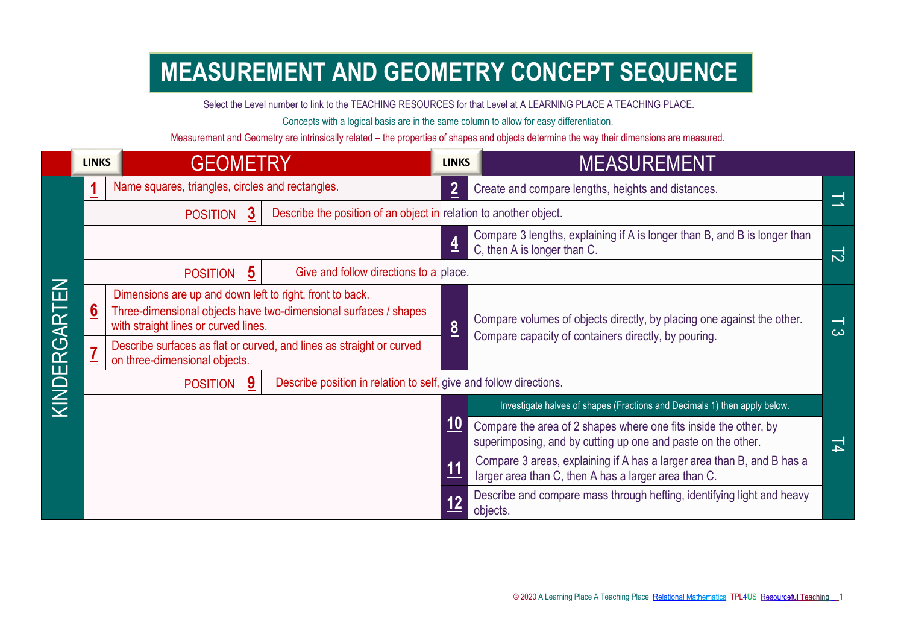## **MEASUREMENT AND GEOMETRY CONCEPT SEQUENCE**

Select the Level number to link to the TEACHING RESOURCES for that Level at A LEARNING PLACE A TEACHING PLACE.

Concepts with a logical basis are in the same column to allow for easy differentiation.

Measurement and Geometry are intrinsically related – the properties of shapes and objects determine the way their dimensions are measured.

|              | <b>LINKS</b>    | <b>GEOMETRY</b>                                                                                                                                                      |                                                                      | <b>LINKS</b>    | <b>MEASUREMENT</b>                                                                                                               |                                      |
|--------------|-----------------|----------------------------------------------------------------------------------------------------------------------------------------------------------------------|----------------------------------------------------------------------|-----------------|----------------------------------------------------------------------------------------------------------------------------------|--------------------------------------|
|              | 1               | Name squares, triangles, circles and rectangles.                                                                                                                     |                                                                      | $\overline{2}$  | Create and compare lengths, heights and distances.                                                                               | $\overline{\phantom{a}}$             |
|              |                 | Describe the position of an object in relation to another object.<br><b>POSITION</b>                                                                                 |                                                                      |                 |                                                                                                                                  |                                      |
|              |                 |                                                                                                                                                                      |                                                                      |                 | Compare 3 lengths, explaining if A is longer than B, and B is longer than<br>C, then A is longer than C.                         | 12                                   |
|              |                 | <b>POSITION</b>                                                                                                                                                      | Give and follow directions to a place.                               |                 |                                                                                                                                  |                                      |
| KINDERGARTEN | $6\overline{6}$ | Dimensions are up and down left to right, front to back.<br>Three-dimensional objects have two-dimensional surfaces / shapes<br>with straight lines or curved lines. |                                                                      |                 | Compare volumes of objects directly, by placing one against the other.<br>Compare capacity of containers directly, by pouring.   | $\overline{\phantom{0}}$<br>$\omega$ |
|              | $\overline{1}$  | on three-dimensional objects.                                                                                                                                        | Describe surfaces as flat or curved, and lines as straight or curved | $\underline{8}$ |                                                                                                                                  |                                      |
|              |                 | Describe position in relation to self, give and follow directions.<br>9<br><b>POSITION</b>                                                                           |                                                                      |                 |                                                                                                                                  |                                      |
|              |                 |                                                                                                                                                                      |                                                                      |                 | Investigate halves of shapes (Fractions and Decimals 1) then apply below.                                                        |                                      |
|              |                 |                                                                                                                                                                      |                                                                      |                 | Compare the area of 2 shapes where one fits inside the other, by<br>superimposing, and by cutting up one and paste on the other. | 뇌                                    |
|              |                 |                                                                                                                                                                      |                                                                      | 11              | Compare 3 areas, explaining if A has a larger area than B, and B has a<br>larger area than C, then A has a larger area than C.   |                                      |
|              |                 |                                                                                                                                                                      |                                                                      |                 | Describe and compare mass through hefting, identifying light and heavy<br>objects.                                               |                                      |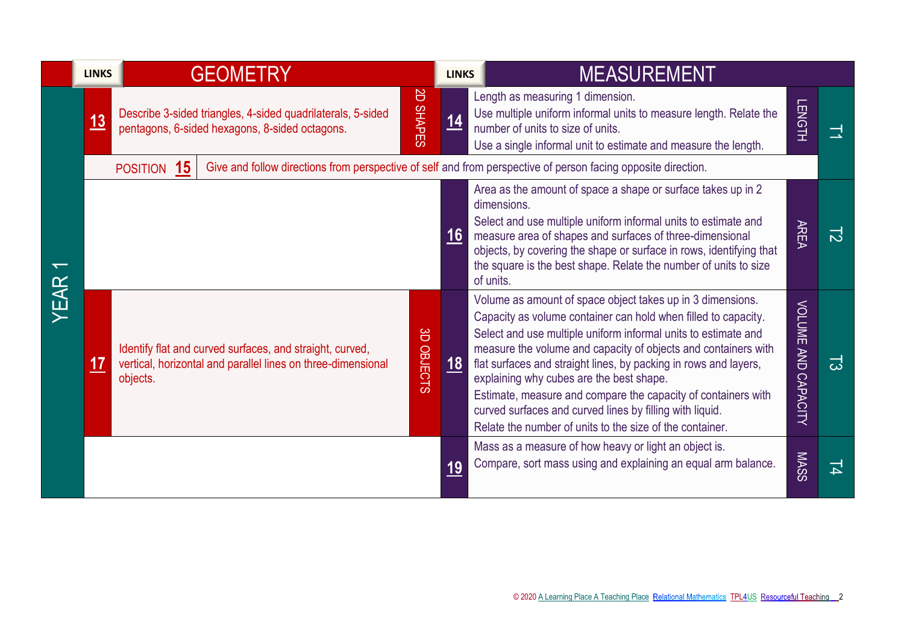|      | <b>LINKS</b> |             | <b>GEOMETRY</b>                                                                                                          |                     | <b>LINKS</b> | <b>MEASUREMENT</b>                                                                                                                                                                                                                                                                                                                                                                                                                                                                                                                                                        |                            |   |
|------|--------------|-------------|--------------------------------------------------------------------------------------------------------------------------|---------------------|--------------|---------------------------------------------------------------------------------------------------------------------------------------------------------------------------------------------------------------------------------------------------------------------------------------------------------------------------------------------------------------------------------------------------------------------------------------------------------------------------------------------------------------------------------------------------------------------------|----------------------------|---|
| YEAR | <u>13</u>    |             | Describe 3-sided triangles, 4-sided quadrilaterals, 5-sided<br>pentagons, 6-sided hexagons, 8-sided octagons.            | B<br><b>SHAPES</b>  | 14           | Length as measuring 1 dimension.<br>Use multiple uniform informal units to measure length. Relate the<br>number of units to size of units.<br>Use a single informal unit to estimate and measure the length.                                                                                                                                                                                                                                                                                                                                                              | <b>LENGTH</b>              |   |
|      |              | POSITION 15 |                                                                                                                          |                     |              | Give and follow directions from perspective of self and from perspective of person facing opposite direction.                                                                                                                                                                                                                                                                                                                                                                                                                                                             |                            |   |
|      |              |             |                                                                                                                          |                     | 16           | Area as the amount of space a shape or surface takes up in 2<br>dimensions.<br>Select and use multiple uniform informal units to estimate and<br>measure area of shapes and surfaces of three-dimensional<br>objects, by covering the shape or surface in rows, identifying that<br>the square is the best shape. Relate the number of units to size<br>of units.                                                                                                                                                                                                         | <b>AREA</b>                | 己 |
|      | <u> 17</u>   | objects.    | Identify flat and curved surfaces, and straight, curved,<br>vertical, horizontal and parallel lines on three-dimensional | 8<br><b>OBJECTS</b> | <u>18</u>    | Volume as amount of space object takes up in 3 dimensions.<br>Capacity as volume container can hold when filled to capacity.<br>Select and use multiple uniform informal units to estimate and<br>measure the volume and capacity of objects and containers with<br>flat surfaces and straight lines, by packing in rows and layers,<br>explaining why cubes are the best shape.<br>Estimate, measure and compare the capacity of containers with<br>curved surfaces and curved lines by filling with liquid.<br>Relate the number of units to the size of the container. | <b>VOLUME AND CAPACITY</b> | 귾 |
|      |              |             |                                                                                                                          |                     | 19           | Mass as a measure of how heavy or light an object is.<br>Compare, sort mass using and explaining an equal arm balance.                                                                                                                                                                                                                                                                                                                                                                                                                                                    | <b>MASS</b>                | 뇌 |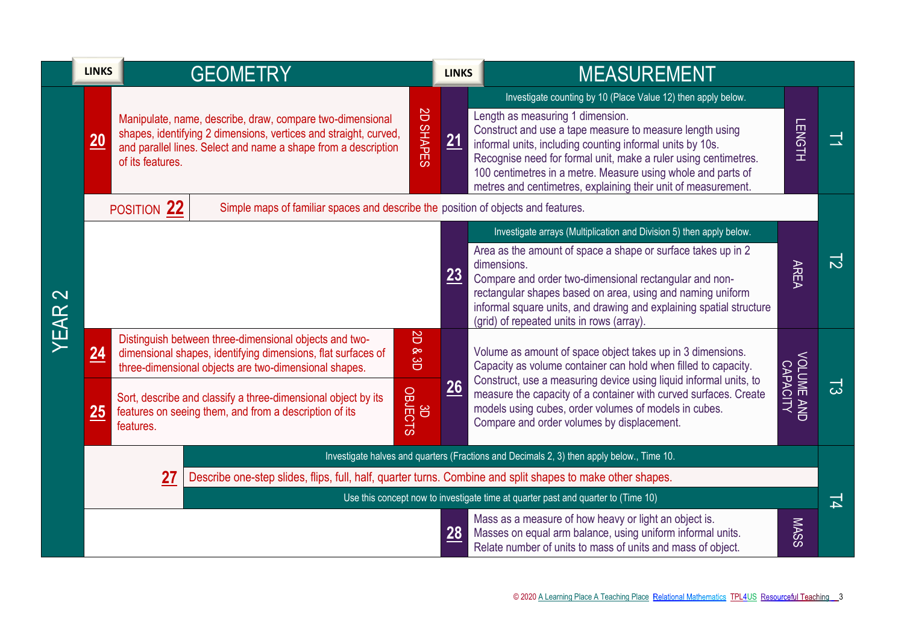|                           | <b>LINKS</b>    | <b>GEOMETRY</b>                                                                                                                                                                                                                                                                                                         | <b>LINKS</b>                                    |  | <b>MEASUREMENT</b>                                                                                                                                                                                                                                                                                                                                                                                                             |                        |                |  |  |
|---------------------------|-----------------|-------------------------------------------------------------------------------------------------------------------------------------------------------------------------------------------------------------------------------------------------------------------------------------------------------------------------|-------------------------------------------------|--|--------------------------------------------------------------------------------------------------------------------------------------------------------------------------------------------------------------------------------------------------------------------------------------------------------------------------------------------------------------------------------------------------------------------------------|------------------------|----------------|--|--|
| $\mathbf{\Omega}$<br>YEAR | $\overline{20}$ | Manipulate, name, describe, draw, compare two-dimensional<br>shapes, identifying 2 dimensions, vertices and straight, curved,<br>and parallel lines. Select and name a shape from a description<br>of its features.                                                                                                     | <b>S</b><br><b>SHAPES</b><br>21                 |  | Investigate counting by 10 (Place Value 12) then apply below.<br>Length as measuring 1 dimension.<br>Construct and use a tape measure to measure length using<br>informal units, including counting informal units by 10s.<br>Recognise need for formal unit, make a ruler using centimetres.<br>100 centimetres in a metre. Measure using whole and parts of<br>metres and centimetres, explaining their unit of measurement. | <b>LENGTH</b>          | ᅼ              |  |  |
|                           |                 | POSITION 22<br>Simple maps of familiar spaces and describe the position of objects and features.                                                                                                                                                                                                                        |                                                 |  |                                                                                                                                                                                                                                                                                                                                                                                                                                |                        |                |  |  |
|                           |                 |                                                                                                                                                                                                                                                                                                                         | 23                                              |  | Investigate arrays (Multiplication and Division 5) then apply below.<br>Area as the amount of space a shape or surface takes up in 2<br>dimensions.<br>Compare and order two-dimensional rectangular and non-<br>rectangular shapes based on area, using and naming uniform<br>informal square units, and drawing and explaining spatial structure<br>(grid) of repeated units in rows (array).                                | <b>AREA</b>            | $\overline{5}$ |  |  |
|                           | <u>24</u><br>25 | Distinguish between three-dimensional objects and two-<br>dimensional shapes, identifying dimensions, flat surfaces of<br>three-dimensional objects are two-dimensional shapes.<br>Sort, describe and classify a three-dimensional object by its<br>features on seeing them, and from a description of its<br>features. | B<br>$\infty$<br>8<br>26<br><b>OBJECTS</b><br>8 |  | Volume as amount of space object takes up in 3 dimensions.<br>Capacity as volume container can hold when filled to capacity.<br>Construct, use a measuring device using liquid informal units, to<br>measure the capacity of a container with curved surfaces. Create<br>models using cubes, order volumes of models in cubes.<br>Compare and order volumes by displacement.                                                   | VOLUME AND<br>CAPACITY | ದ              |  |  |
|                           |                 | Investigate halves and quarters (Fractions and Decimals 2, 3) then apply below., Time 10.                                                                                                                                                                                                                               |                                                 |  |                                                                                                                                                                                                                                                                                                                                                                                                                                |                        |                |  |  |
|                           |                 | 27<br>Describe one-step slides, flips, full, half, quarter turns. Combine and split shapes to make other shapes.                                                                                                                                                                                                        |                                                 |  | Use this concept now to investigate time at quarter past and quarter to (Time 10)                                                                                                                                                                                                                                                                                                                                              |                        | 보              |  |  |
|                           |                 |                                                                                                                                                                                                                                                                                                                         | 28                                              |  | Mass as a measure of how heavy or light an object is.<br>Masses on equal arm balance, using uniform informal units.<br>Relate number of units to mass of units and mass of object.                                                                                                                                                                                                                                             | <b>MASS</b>            |                |  |  |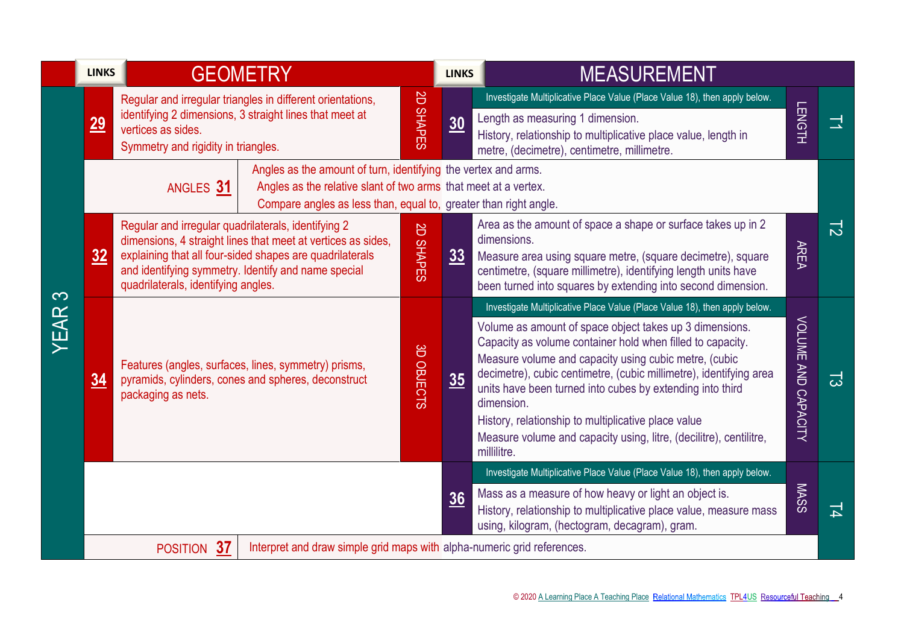|           | <b>LINKS</b> | <b>GEOMETRY</b>                                                                                                                                                                                                                                                               |                                                                         |                                                                                                                                                                                                       | <b>LINKS</b> | <b>MEASUREMENT</b>                                                                                                                                                                                                                                                                                                                                                                                                                                                                                                                                        |                     |   |
|-----------|--------------|-------------------------------------------------------------------------------------------------------------------------------------------------------------------------------------------------------------------------------------------------------------------------------|-------------------------------------------------------------------------|-------------------------------------------------------------------------------------------------------------------------------------------------------------------------------------------------------|--------------|-----------------------------------------------------------------------------------------------------------------------------------------------------------------------------------------------------------------------------------------------------------------------------------------------------------------------------------------------------------------------------------------------------------------------------------------------------------------------------------------------------------------------------------------------------------|---------------------|---|
|           | <u>29</u>    | Regular and irregular triangles in different orientations,<br>identifying 2 dimensions, 3 straight lines that meet at<br>vertices as sides.<br>Symmetry and rigidity in triangles.                                                                                            |                                                                         | <b>SD</b><br><b>SHAPES</b>                                                                                                                                                                            | 30           | Investigate Multiplicative Place Value (Place Value 18), then apply below.<br>Length as measuring 1 dimension.<br>History, relationship to multiplicative place value, length in<br>metre, (decimetre), centimetre, millimetre.                                                                                                                                                                                                                                                                                                                           | <b>LENGTH</b>       | 그 |
|           |              | ANGLES 31                                                                                                                                                                                                                                                                     |                                                                         | Angles as the amount of turn, identifying the vertex and arms.<br>Angles as the relative slant of two arms that meet at a vertex.<br>Compare angles as less than, equal to, greater than right angle. |              |                                                                                                                                                                                                                                                                                                                                                                                                                                                                                                                                                           |                     |   |
|           | 32           | Regular and irregular quadrilaterals, identifying 2<br>dimensions, 4 straight lines that meet at vertices as sides,<br>explaining that all four-sided shapes are quadrilaterals<br>and identifying symmetry. Identify and name special<br>quadrilaterals, identifying angles. |                                                                         | $\Xi$<br>SHAPES                                                                                                                                                                                       | 33           | Area as the amount of space a shape or surface takes up in 2<br>dimensions.<br>Measure area using square metre, (square decimetre), square<br>centimetre, (square millimetre), identifying length units have<br>been turned into squares by extending into second dimension.                                                                                                                                                                                                                                                                              | <b>AREA</b>         | 급 |
| က<br>YEAR | 34           | Features (angles, surfaces, lines, symmetry) prisms,<br>pyramids, cylinders, cones and spheres, deconstruct<br>packaging as nets.                                                                                                                                             |                                                                         | 3D OBJECTS                                                                                                                                                                                            | 35           | Investigate Multiplicative Place Value (Place Value 18), then apply below.<br>Volume as amount of space object takes up 3 dimensions.<br>Capacity as volume container hold when filled to capacity.<br>Measure volume and capacity using cubic metre, (cubic<br>decimetre), cubic centimetre, (cubic millimetre), identifying area<br>units have been turned into cubes by extending into third<br>dimension.<br>History, relationship to multiplicative place value<br>Measure volume and capacity using, litre, (decilitre), centilitre,<br>millilitre. | VOLUME AND CAPACITY | 귾 |
|           |              |                                                                                                                                                                                                                                                                               |                                                                         |                                                                                                                                                                                                       | 36           | Investigate Multiplicative Place Value (Place Value 18), then apply below.<br>Mass as a measure of how heavy or light an object is.<br>History, relationship to multiplicative place value, measure mass<br>using, kilogram, (hectogram, decagram), gram.                                                                                                                                                                                                                                                                                                 | <b>MASS</b>         | 그 |
|           |              | 37<br><b>POSITION</b>                                                                                                                                                                                                                                                         | Interpret and draw simple grid maps with alpha-numeric grid references. |                                                                                                                                                                                                       |              |                                                                                                                                                                                                                                                                                                                                                                                                                                                                                                                                                           |                     |   |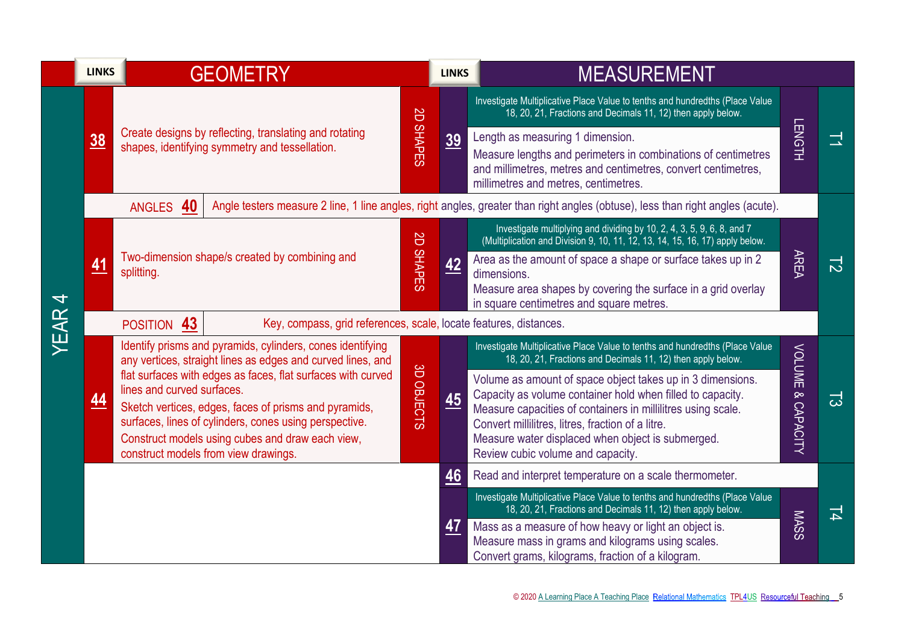|                          | <b>LINKS</b>   | <b>GEOMETRY</b>                                                                                                                                                                                                                                                                                           |                     | <b>LINKS</b>                                                      | <b>MEASUREMENT</b>                                                                                                                                                                                                                                                                                                                      |               |                          |  |
|--------------------------|----------------|-----------------------------------------------------------------------------------------------------------------------------------------------------------------------------------------------------------------------------------------------------------------------------------------------------------|---------------------|-------------------------------------------------------------------|-----------------------------------------------------------------------------------------------------------------------------------------------------------------------------------------------------------------------------------------------------------------------------------------------------------------------------------------|---------------|--------------------------|--|
|                          |                | Create designs by reflecting, translating and rotating<br>shapes, identifying symmetry and tessellation.                                                                                                                                                                                                  |                     | <b>SD</b>                                                         | Investigate Multiplicative Place Value to tenths and hundredths (Place Value<br>18, 20, 21, Fractions and Decimals 11, 12) then apply below.                                                                                                                                                                                            | LENGTH        |                          |  |
|                          | $\frac{38}{2}$ |                                                                                                                                                                                                                                                                                                           |                     | <b>SHAPES</b><br>$\underline{39}$                                 | Length as measuring 1 dimension.<br>Measure lengths and perimeters in combinations of centimetres<br>and millimetres, metres and centimetres, convert centimetres,<br>millimetres and metres, centimetres.                                                                                                                              |               | 그                        |  |
|                          |                | Angle testers measure 2 line, 1 line angles, right angles, greater than right angles (obtuse), less than right angles (acute).<br>ANGLES 40                                                                                                                                                               |                     |                                                                   |                                                                                                                                                                                                                                                                                                                                         |               |                          |  |
|                          |                |                                                                                                                                                                                                                                                                                                           |                     | <b>S</b>                                                          | Investigate multiplying and dividing by 10, 2, 4, 3, 5, 9, 6, 8, and 7<br>(Multiplication and Division 9, 10, 11, 12, 13, 14, 15, 16, 17) apply below.                                                                                                                                                                                  |               |                          |  |
| $\overline{\mathcal{A}}$ | 41             | Two-dimension shape/s created by combining and<br>splitting.                                                                                                                                                                                                                                              | <b>SHAPES</b>       | 42                                                                | Area as the amount of space a shape or surface takes up in 2<br>dimensions.<br>Measure area shapes by covering the surface in a grid overlay<br>in square centimetres and square metres.                                                                                                                                                | <b>AREA</b>   | $\overline{\mathcal{L}}$ |  |
| YEAR                     | POSITION 43    |                                                                                                                                                                                                                                                                                                           |                     | Key, compass, grid references, scale, locate features, distances. |                                                                                                                                                                                                                                                                                                                                         |               |                          |  |
|                          |                | Identify prisms and pyramids, cylinders, cones identifying<br>any vertices, straight lines as edges and curved lines, and                                                                                                                                                                                 |                     |                                                                   | Investigate Multiplicative Place Value to tenths and hundredths (Place Value<br>18, 20, 21, Fractions and Decimals 11, 12) then apply below.                                                                                                                                                                                            | <b>VOLUME</b> |                          |  |
|                          | <u>44</u>      | flat surfaces with edges as faces, flat surfaces with curved<br>lines and curved surfaces.<br>Sketch vertices, edges, faces of prisms and pyramids,<br>surfaces, lines of cylinders, cones using perspective.<br>Construct models using cubes and draw each view,<br>construct models from view drawings. | 8<br><b>OBJECTS</b> | 45                                                                | Volume as amount of space object takes up in 3 dimensions.<br>Capacity as volume container hold when filled to capacity.<br>Measure capacities of containers in millilitres using scale.<br>Convert millilitres, litres, fraction of a litre.<br>Measure water displaced when object is submerged.<br>Review cubic volume and capacity. | & CAPACITY    | ದ                        |  |
|                          |                |                                                                                                                                                                                                                                                                                                           |                     | 46                                                                | Read and interpret temperature on a scale thermometer.                                                                                                                                                                                                                                                                                  |               |                          |  |
|                          |                |                                                                                                                                                                                                                                                                                                           |                     |                                                                   | Investigate Multiplicative Place Value to tenths and hundredths (Place Value<br>18, 20, 21, Fractions and Decimals 11, 12) then apply below.                                                                                                                                                                                            |               | 뇌                        |  |
|                          |                |                                                                                                                                                                                                                                                                                                           |                     | <u>47</u>                                                         | Mass as a measure of how heavy or light an object is.<br>Measure mass in grams and kilograms using scales.<br>Convert grams, kilograms, fraction of a kilogram.                                                                                                                                                                         | <b>MASS</b>   |                          |  |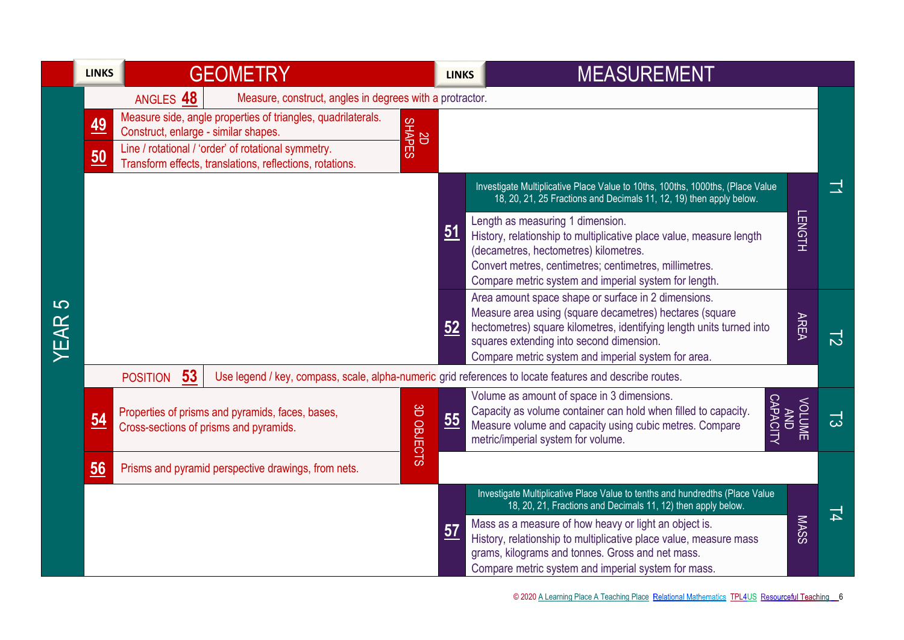|           | <b>LINKS</b>     |                                                                                                                                                                               | <b>GEOMETRY</b>                                                                                                 |                      |                | <b>MEASUREMENT</b><br><b>LINKS</b>                                                                                                                                                                                                                                                                                                                                                                                                            |    |
|-----------|------------------|-------------------------------------------------------------------------------------------------------------------------------------------------------------------------------|-----------------------------------------------------------------------------------------------------------------|----------------------|----------------|-----------------------------------------------------------------------------------------------------------------------------------------------------------------------------------------------------------------------------------------------------------------------------------------------------------------------------------------------------------------------------------------------------------------------------------------------|----|
| 5<br>YEAR | <u>49</u>        | ANGLES 48<br>Measure, construct, angles in degrees with a protractor.<br>Measure side, angle properties of triangles, quadrilaterals.<br>Construct, enlarge - similar shapes. |                                                                                                                 | SHAPES<br>SHAPES     |                |                                                                                                                                                                                                                                                                                                                                                                                                                                               |    |
|           | $\underline{50}$ |                                                                                                                                                                               | Line / rotational / 'order' of rotational symmetry.<br>Transform effects, translations, reflections, rotations. |                      |                |                                                                                                                                                                                                                                                                                                                                                                                                                                               |    |
|           |                  |                                                                                                                                                                               |                                                                                                                 |                      | 51             | Investigate Multiplicative Place Value to 10ths, 100ths, 1000ths, (Place Value<br>18, 20, 21, 25 Fractions and Decimals 11, 12, 19) then apply below.<br><b>LENGTH</b><br>Length as measuring 1 dimension.<br>History, relationship to multiplicative place value, measure length<br>(decametres, hectometres) kilometres.<br>Convert metres, centimetres; centimetres, millimetres.<br>Compare metric system and imperial system for length. |    |
|           |                  |                                                                                                                                                                               |                                                                                                                 |                      | 52             | Area amount space shape or surface in 2 dimensions.<br>Measure area using (square decametres) hectares (square<br><b>AREA</b><br>hectometres) square kilometres, identifying length units turned into<br>squares extending into second dimension.<br>Compare metric system and imperial system for area.                                                                                                                                      | 12 |
|           | $\underline{54}$ | 53<br><b>POSITION</b>                                                                                                                                                         | Properties of prisms and pyramids, faces, bases,<br>Cross-sections of prisms and pyramids.                      | ីS<br><b>OBJECTS</b> | $\frac{55}{5}$ | Use legend / key, compass, scale, alpha-numeric grid references to locate features and describe routes.<br>Volume as amount of space in 3 dimensions.<br>ANDARACITY<br><b>VOLUME</b><br>Capacity as volume container can hold when filled to capacity.<br>Measure volume and capacity using cubic metres. Compare<br>metric/imperial system for volume.                                                                                       | ದ  |
|           | $\underline{56}$ |                                                                                                                                                                               | Prisms and pyramid perspective drawings, from nets.                                                             |                      |                |                                                                                                                                                                                                                                                                                                                                                                                                                                               |    |
|           |                  |                                                                                                                                                                               |                                                                                                                 |                      | 57             | Investigate Multiplicative Place Value to tenths and hundredths (Place Value<br>18, 20, 21, Fractions and Decimals 11, 12) then apply below.<br><b>MASS</b><br>Mass as a measure of how heavy or light an object is.<br>History, relationship to multiplicative place value, measure mass<br>grams, kilograms and tonnes. Gross and net mass.<br>Compare metric system and imperial system for mass.                                          | 니  |